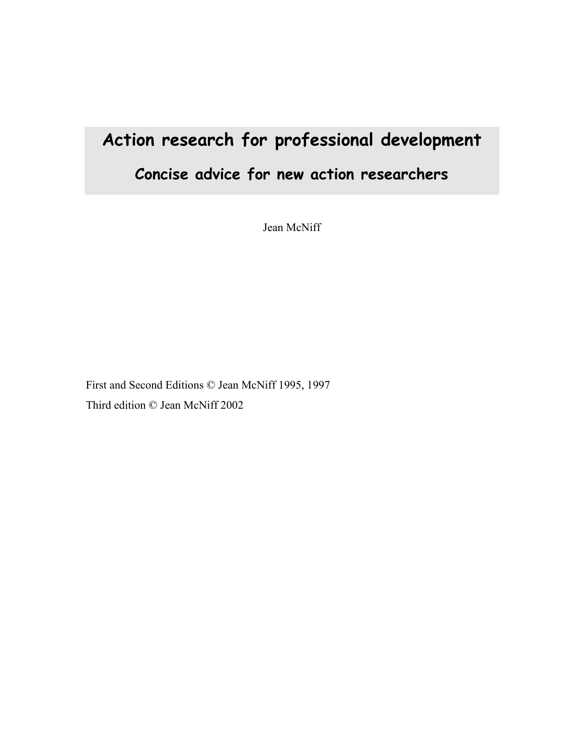# **Action research for professional development**

# **Concise advice for new action researchers**

Jean McNiff

First and Second Editions © Jean McNiff 1995, 1997 Third edition © Jean McNiff 2002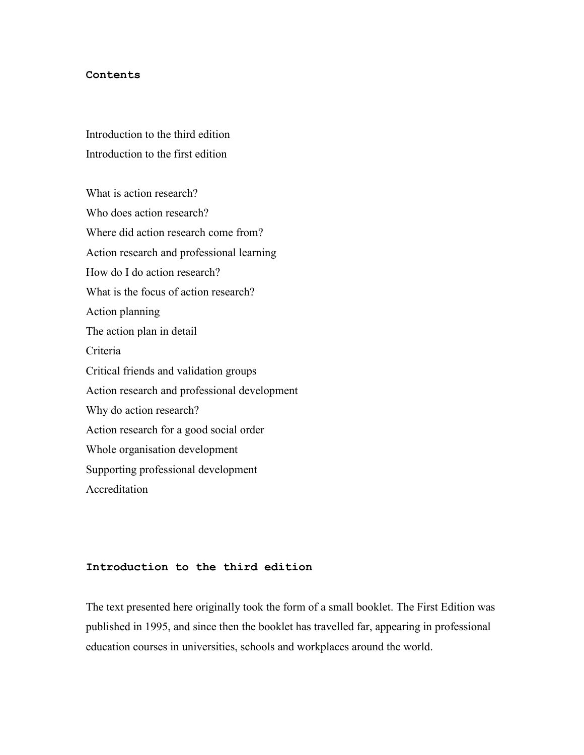#### **Contents**

Introduction to the third edition Introduction to the first edition

What is action research? Who does action research? Where did action research come from? Action research and professional learning How do I do action research? What is the focus of action research? Action planning The action plan in detail Criteria Critical friends and validation groups Action research and professional development Why do action research? Action research for a good social order Whole organisation development Supporting professional development Accreditation

#### **Introduction to the third edition**

The text presented here originally took the form of a small booklet. The First Edition was published in 1995, and since then the booklet has travelled far, appearing in professional education courses in universities, schools and workplaces around the world.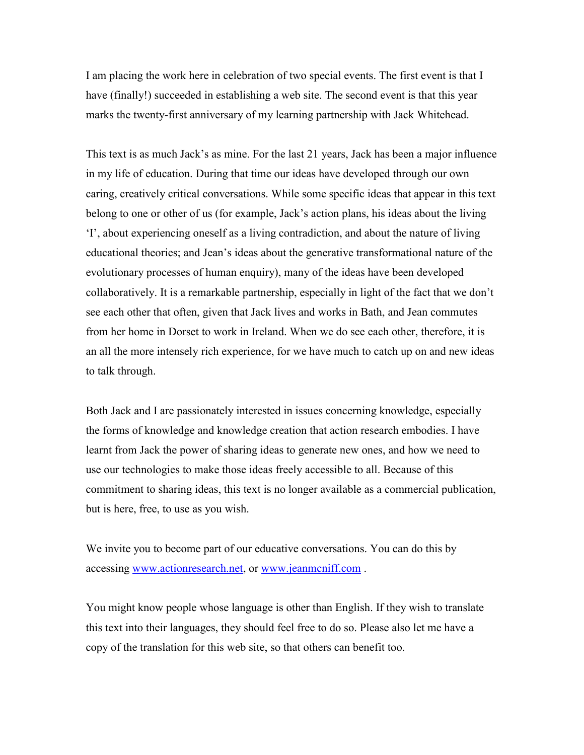I am placing the work here in celebration of two special events. The first event is that I have (finally!) succeeded in establishing a web site. The second event is that this year marks the twenty-first anniversary of my learning partnership with Jack Whitehead.

This text is as much Jack's as mine. For the last 21 years, Jack has been a major influence in my life of education. During that time our ideas have developed through our own caring, creatively critical conversations. While some specific ideas that appear in this text belong to one or other of us (for example, Jack's action plans, his ideas about the living 'I', about experiencing oneself as a living contradiction, and about the nature of living educational theories; and Jean's ideas about the generative transformational nature of the evolutionary processes of human enquiry), many of the ideas have been developed collaboratively. It is a remarkable partnership, especially in light of the fact that we don't see each other that often, given that Jack lives and works in Bath, and Jean commutes from her home in Dorset to work in Ireland. When we do see each other, therefore, it is an all the more intensely rich experience, for we have much to catch up on and new ideas to talk through.

Both Jack and I are passionately interested in issues concerning knowledge, especially the forms of knowledge and knowledge creation that action research embodies. I have learnt from Jack the power of sharing ideas to generate new ones, and how we need to use our technologies to make those ideas freely accessible to all. Because of this commitment to sharing ideas, this text is no longer available as a commercial publication, but is here, free, to use as you wish.

We invite you to become part of our educative conversations. You can do this by accessing [www.actionresearch.net,](http://www.actionresearch.net/) or [www.jeanmcniff.com](http://www.jeanmcniff.com/) .

You might know people whose language is other than English. If they wish to translate this text into their languages, they should feel free to do so. Please also let me have a copy of the translation for this web site, so that others can benefit too.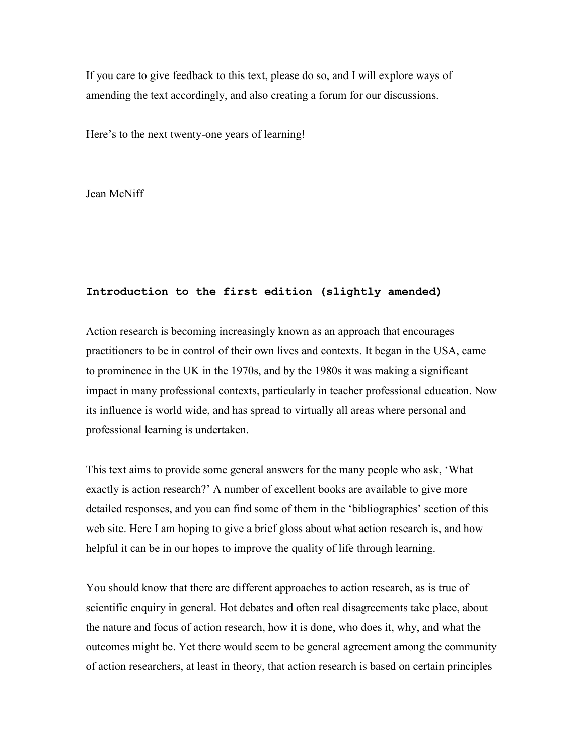If you care to give feedback to this text, please do so, and I will explore ways of amending the text accordingly, and also creating a forum for our discussions.

Here's to the next twenty-one years of learning!

Jean McNiff

#### **Introduction to the first edition (slightly amended)**

Action research is becoming increasingly known as an approach that encourages practitioners to be in control of their own lives and contexts. It began in the USA, came to prominence in the UK in the 1970s, and by the 1980s it was making a significant impact in many professional contexts, particularly in teacher professional education. Now its influence is world wide, and has spread to virtually all areas where personal and professional learning is undertaken.

This text aims to provide some general answers for the many people who ask, 'What exactly is action research?' A number of excellent books are available to give more detailed responses, and you can find some of them in the 'bibliographies' section of this web site. Here I am hoping to give a brief gloss about what action research is, and how helpful it can be in our hopes to improve the quality of life through learning.

You should know that there are different approaches to action research, as is true of scientific enquiry in general. Hot debates and often real disagreements take place, about the nature and focus of action research, how it is done, who does it, why, and what the outcomes might be. Yet there would seem to be general agreement among the community of action researchers, at least in theory, that action research is based on certain principles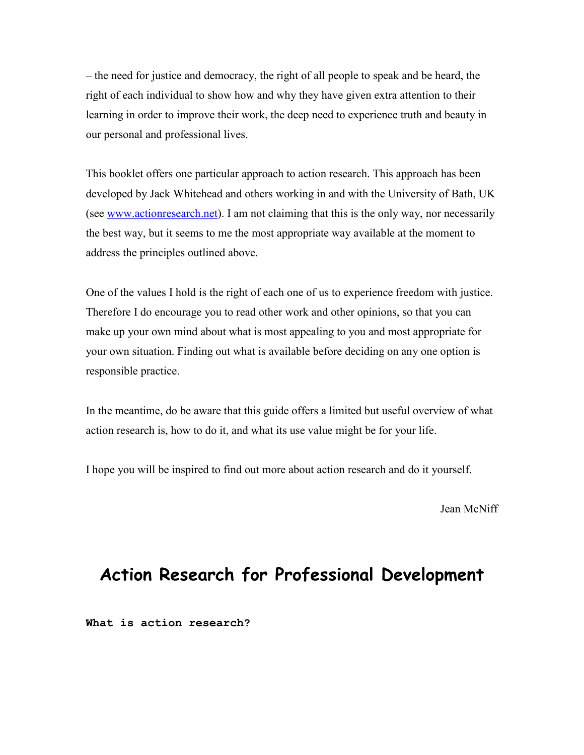– the need for justice and democracy, the right of all people to speak and be heard, the right of each individual to show how and why they have given extra attention to their learning in order to improve their work, the deep need to experience truth and beauty in our personal and professional lives.

This booklet offers one particular approach to action research. This approach has been developed by Jack Whitehead and others working in and with the University of Bath, UK (see [www.actionresearch.net\)](http://www.actionresearch.net/). I am not claiming that this is the only way, nor necessarily the best way, but it seems to me the most appropriate way available at the moment to address the principles outlined above.

One of the values I hold is the right of each one of us to experience freedom with justice. Therefore I do encourage you to read other work and other opinions, so that you can make up your own mind about what is most appealing to you and most appropriate for your own situation. Finding out what is available before deciding on any one option is responsible practice.

In the meantime, do be aware that this guide offers a limited but useful overview of what action research is, how to do it, and what its use value might be for your life.

I hope you will be inspired to find out more about action research and do it yourself.

Jean McNiff

# **Action Research for Professional Development**

**What is action research?**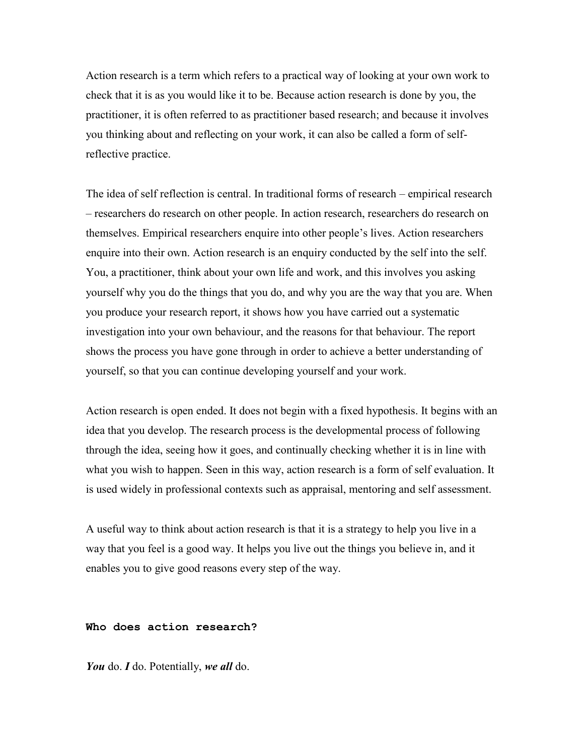Action research is a term which refers to a practical way of looking at your own work to check that it is as you would like it to be. Because action research is done by you, the practitioner, it is often referred to as practitioner based research; and because it involves you thinking about and reflecting on your work, it can also be called a form of selfreflective practice.

The idea of self reflection is central. In traditional forms of research – empirical research – researchers do research on other people. In action research, researchers do research on themselves. Empirical researchers enquire into other people's lives. Action researchers enquire into their own. Action research is an enquiry conducted by the self into the self. You, a practitioner, think about your own life and work, and this involves you asking yourself why you do the things that you do, and why you are the way that you are. When you produce your research report, it shows how you have carried out a systematic investigation into your own behaviour, and the reasons for that behaviour. The report shows the process you have gone through in order to achieve a better understanding of yourself, so that you can continue developing yourself and your work.

Action research is open ended. It does not begin with a fixed hypothesis. It begins with an idea that you develop. The research process is the developmental process of following through the idea, seeing how it goes, and continually checking whether it is in line with what you wish to happen. Seen in this way, action research is a form of self evaluation. It is used widely in professional contexts such as appraisal, mentoring and self assessment.

A useful way to think about action research is that it is a strategy to help you live in a way that you feel is a good way. It helps you live out the things you believe in, and it enables you to give good reasons every step of the way.

### **Who does action research?**

*You* do. *I* do. Potentially, *we all* do.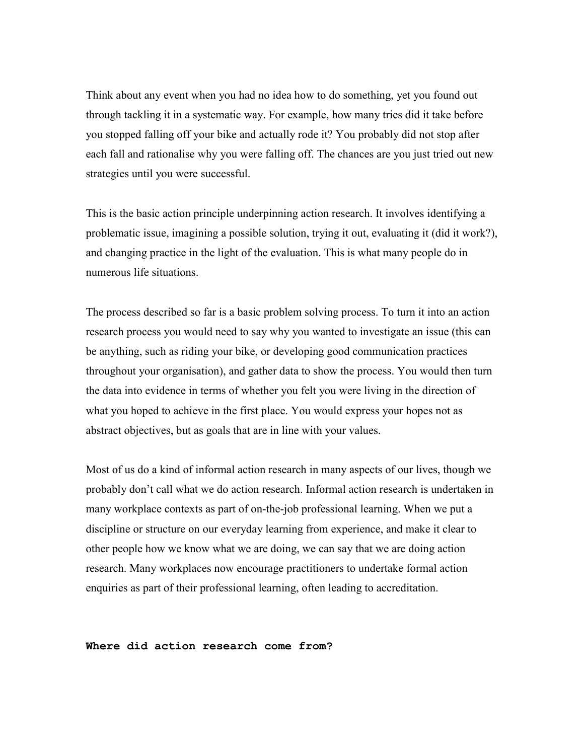Think about any event when you had no idea how to do something, yet you found out through tackling it in a systematic way. For example, how many tries did it take before you stopped falling off your bike and actually rode it? You probably did not stop after each fall and rationalise why you were falling off. The chances are you just tried out new strategies until you were successful.

This is the basic action principle underpinning action research. It involves identifying a problematic issue, imagining a possible solution, trying it out, evaluating it (did it work?), and changing practice in the light of the evaluation. This is what many people do in numerous life situations.

The process described so far is a basic problem solving process. To turn it into an action research process you would need to say why you wanted to investigate an issue (this can be anything, such as riding your bike, or developing good communication practices throughout your organisation), and gather data to show the process. You would then turn the data into evidence in terms of whether you felt you were living in the direction of what you hoped to achieve in the first place. You would express your hopes not as abstract objectives, but as goals that are in line with your values.

Most of us do a kind of informal action research in many aspects of our lives, though we probably don't call what we do action research. Informal action research is undertaken in many workplace contexts as part of on-the-job professional learning. When we put a discipline or structure on our everyday learning from experience, and make it clear to other people how we know what we are doing, we can say that we are doing action research. Many workplaces now encourage practitioners to undertake formal action enquiries as part of their professional learning, often leading to accreditation.

**Where did action research come from?**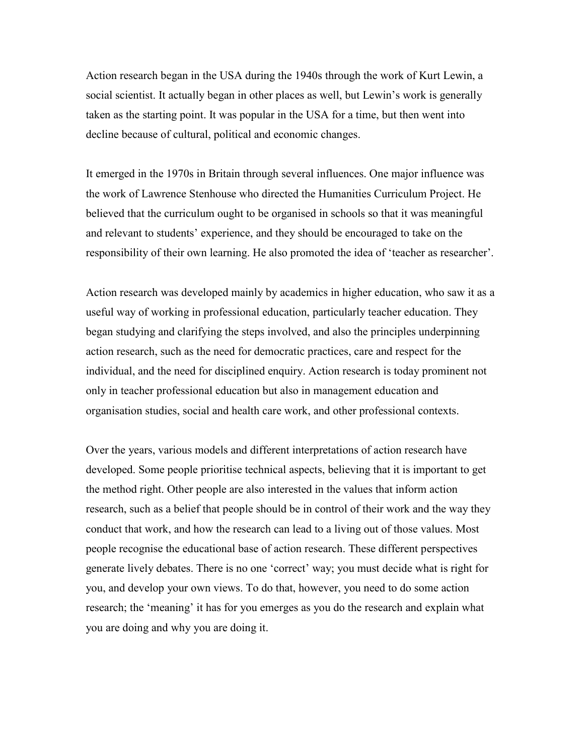Action research began in the USA during the 1940s through the work of Kurt Lewin, a social scientist. It actually began in other places as well, but Lewin's work is generally taken as the starting point. It was popular in the USA for a time, but then went into decline because of cultural, political and economic changes.

It emerged in the 1970s in Britain through several influences. One major influence was the work of Lawrence Stenhouse who directed the Humanities Curriculum Project. He believed that the curriculum ought to be organised in schools so that it was meaningful and relevant to students' experience, and they should be encouraged to take on the responsibility of their own learning. He also promoted the idea of 'teacher as researcher'.

Action research was developed mainly by academics in higher education, who saw it as a useful way of working in professional education, particularly teacher education. They began studying and clarifying the steps involved, and also the principles underpinning action research, such as the need for democratic practices, care and respect for the individual, and the need for disciplined enquiry. Action research is today prominent not only in teacher professional education but also in management education and organisation studies, social and health care work, and other professional contexts.

Over the years, various models and different interpretations of action research have developed. Some people prioritise technical aspects, believing that it is important to get the method right. Other people are also interested in the values that inform action research, such as a belief that people should be in control of their work and the way they conduct that work, and how the research can lead to a living out of those values. Most people recognise the educational base of action research. These different perspectives generate lively debates. There is no one 'correct' way; you must decide what is right for you, and develop your own views. To do that, however, you need to do some action research; the 'meaning' it has for you emerges as you do the research and explain what you are doing and why you are doing it.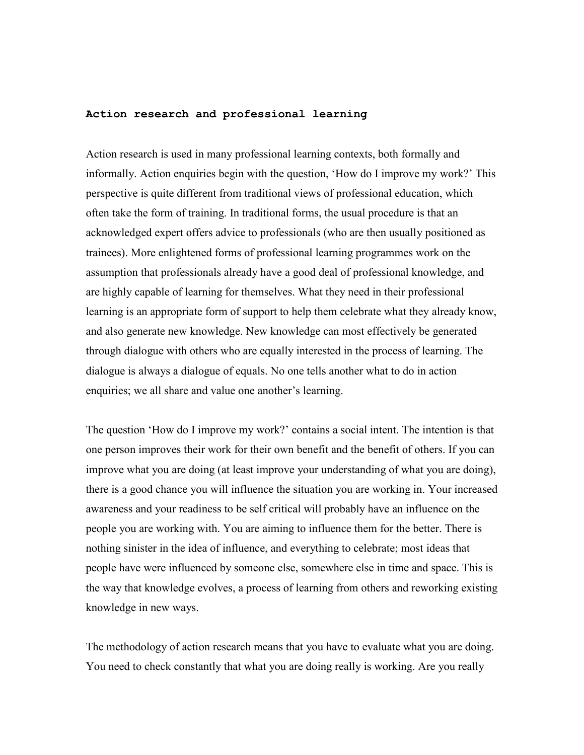#### **Action research and professional learning**

Action research is used in many professional learning contexts, both formally and informally. Action enquiries begin with the question, 'How do I improve my work?' This perspective is quite different from traditional views of professional education, which often take the form of training. In traditional forms, the usual procedure is that an acknowledged expert offers advice to professionals (who are then usually positioned as trainees). More enlightened forms of professional learning programmes work on the assumption that professionals already have a good deal of professional knowledge, and are highly capable of learning for themselves. What they need in their professional learning is an appropriate form of support to help them celebrate what they already know, and also generate new knowledge. New knowledge can most effectively be generated through dialogue with others who are equally interested in the process of learning. The dialogue is always a dialogue of equals. No one tells another what to do in action enquiries; we all share and value one another's learning.

The question 'How do I improve my work?' contains a social intent. The intention is that one person improves their work for their own benefit and the benefit of others. If you can improve what you are doing (at least improve your understanding of what you are doing), there is a good chance you will influence the situation you are working in. Your increased awareness and your readiness to be self critical will probably have an influence on the people you are working with. You are aiming to influence them for the better. There is nothing sinister in the idea of influence, and everything to celebrate; most ideas that people have were influenced by someone else, somewhere else in time and space. This is the way that knowledge evolves, a process of learning from others and reworking existing knowledge in new ways.

The methodology of action research means that you have to evaluate what you are doing. You need to check constantly that what you are doing really is working. Are you really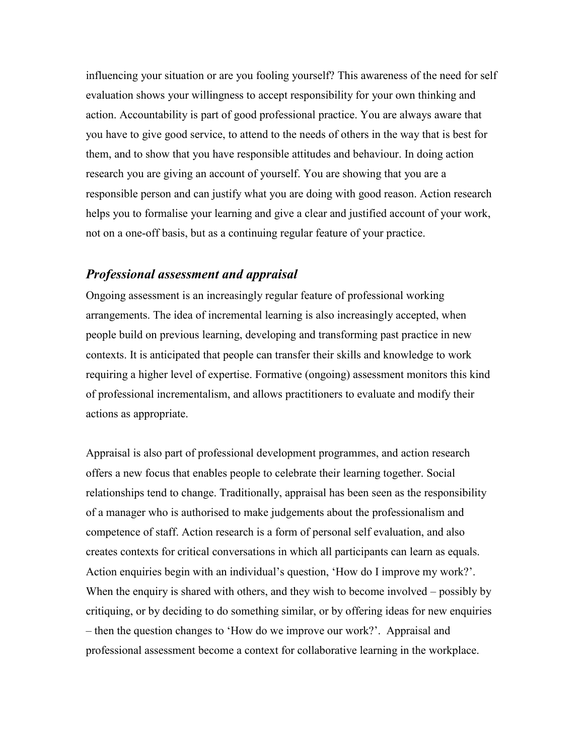influencing your situation or are you fooling yourself? This awareness of the need for self evaluation shows your willingness to accept responsibility for your own thinking and action. Accountability is part of good professional practice. You are always aware that you have to give good service, to attend to the needs of others in the way that is best for them, and to show that you have responsible attitudes and behaviour. In doing action research you are giving an account of yourself. You are showing that you are a responsible person and can justify what you are doing with good reason. Action research helps you to formalise your learning and give a clear and justified account of your work, not on a one-off basis, but as a continuing regular feature of your practice.

## *Professional assessment and appraisal*

Ongoing assessment is an increasingly regular feature of professional working arrangements. The idea of incremental learning is also increasingly accepted, when people build on previous learning, developing and transforming past practice in new contexts. It is anticipated that people can transfer their skills and knowledge to work requiring a higher level of expertise. Formative (ongoing) assessment monitors this kind of professional incrementalism, and allows practitioners to evaluate and modify their actions as appropriate.

Appraisal is also part of professional development programmes, and action research offers a new focus that enables people to celebrate their learning together. Social relationships tend to change. Traditionally, appraisal has been seen as the responsibility of a manager who is authorised to make judgements about the professionalism and competence of staff. Action research is a form of personal self evaluation, and also creates contexts for critical conversations in which all participants can learn as equals. Action enquiries begin with an individual's question, 'How do I improve my work?'. When the enquiry is shared with others, and they wish to become involved – possibly by critiquing, or by deciding to do something similar, or by offering ideas for new enquiries – then the question changes to 'How do we improve our work?'. Appraisal and professional assessment become a context for collaborative learning in the workplace.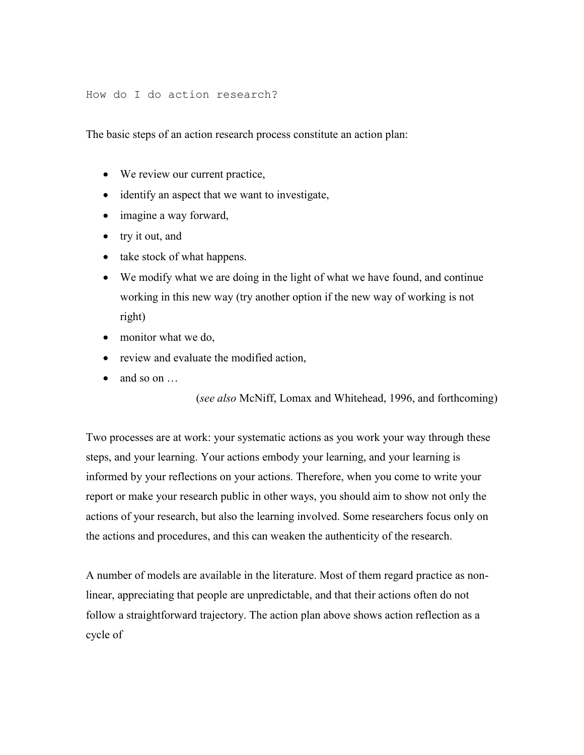How do I do action research?

The basic steps of an action research process constitute an action plan:

- We review our current practice,
- identify an aspect that we want to investigate,
- imagine a way forward,
- try it out, and
- take stock of what happens.
- We modify what we are doing in the light of what we have found, and continue working in this new way (try another option if the new way of working is not right)
- monitor what we do,
- review and evaluate the modified action,
- $\bullet$  and so on  $\ldots$

(*see also* McNiff, Lomax and Whitehead, 1996, and forthcoming)

Two processes are at work: your systematic actions as you work your way through these steps, and your learning. Your actions embody your learning, and your learning is informed by your reflections on your actions. Therefore, when you come to write your report or make your research public in other ways, you should aim to show not only the actions of your research, but also the learning involved. Some researchers focus only on the actions and procedures, and this can weaken the authenticity of the research.

A number of models are available in the literature. Most of them regard practice as nonlinear, appreciating that people are unpredictable, and that their actions often do not follow a straightforward trajectory. The action plan above shows action reflection as a cycle of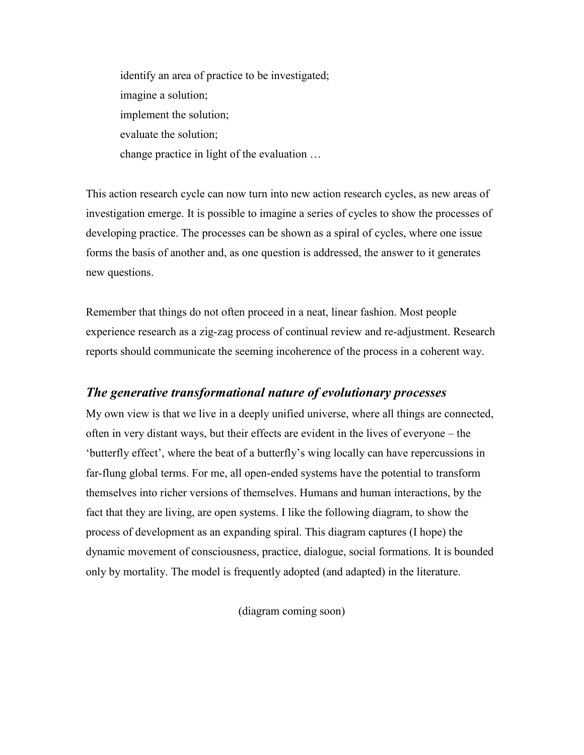identify an area of practice to be investigated; imagine a solution; implement the solution; evaluate the solution; change practice in light of the evaluation …

This action research cycle can now turn into new action research cycles, as new areas of investigation emerge. It is possible to imagine a series of cycles to show the processes of developing practice. The processes can be shown as a spiral of cycles, where one issue forms the basis of another and, as one question is addressed, the answer to it generates new questions.

Remember that things do not often proceed in a neat, linear fashion. Most people experience research as a zig-zag process of continual review and re-adjustment. Research reports should communicate the seeming incoherence of the process in a coherent way.

# *The generative transformational nature of evolutionary processes*

My own view is that we live in a deeply unified universe, where all things are connected, often in very distant ways, but their effects are evident in the lives of everyone – the 'butterfly effect', where the beat of a butterfly's wing locally can have repercussions in far-flung global terms. For me, all open-ended systems have the potential to transform themselves into richer versions of themselves. Humans and human interactions, by the fact that they are living, are open systems. I like the following diagram, to show the process of development as an expanding spiral. This diagram captures (I hope) the dynamic movement of consciousness, practice, dialogue, social formations. It is bounded only by mortality. The model is frequently adopted (and adapted) in the literature.

(diagram coming soon)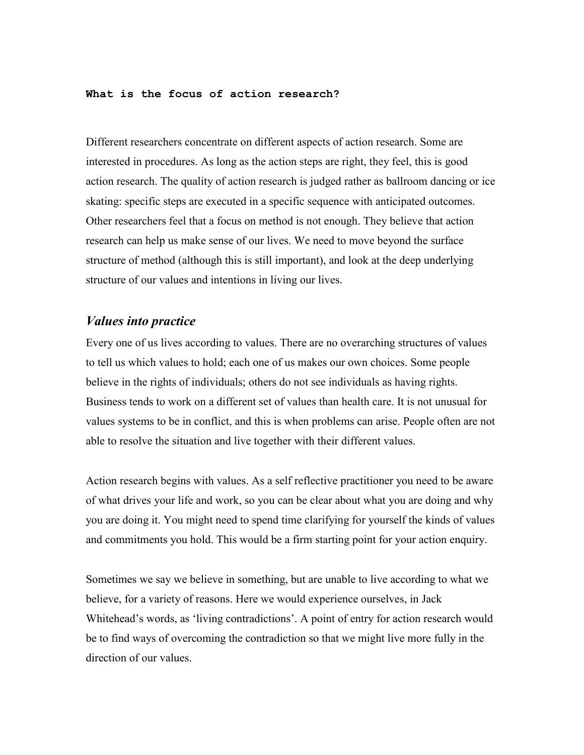#### **What is the focus of action research?**

Different researchers concentrate on different aspects of action research. Some are interested in procedures. As long as the action steps are right, they feel, this is good action research. The quality of action research is judged rather as ballroom dancing or ice skating: specific steps are executed in a specific sequence with anticipated outcomes. Other researchers feel that a focus on method is not enough. They believe that action research can help us make sense of our lives. We need to move beyond the surface structure of method (although this is still important), and look at the deep underlying structure of our values and intentions in living our lives.

## *Values into practice*

Every one of us lives according to values. There are no overarching structures of values to tell us which values to hold; each one of us makes our own choices. Some people believe in the rights of individuals; others do not see individuals as having rights. Business tends to work on a different set of values than health care. It is not unusual for values systems to be in conflict, and this is when problems can arise. People often are not able to resolve the situation and live together with their different values.

Action research begins with values. As a self reflective practitioner you need to be aware of what drives your life and work, so you can be clear about what you are doing and why you are doing it. You might need to spend time clarifying for yourself the kinds of values and commitments you hold. This would be a firm starting point for your action enquiry.

Sometimes we say we believe in something, but are unable to live according to what we believe, for a variety of reasons. Here we would experience ourselves, in Jack Whitehead's words, as 'living contradictions'. A point of entry for action research would be to find ways of overcoming the contradiction so that we might live more fully in the direction of our values.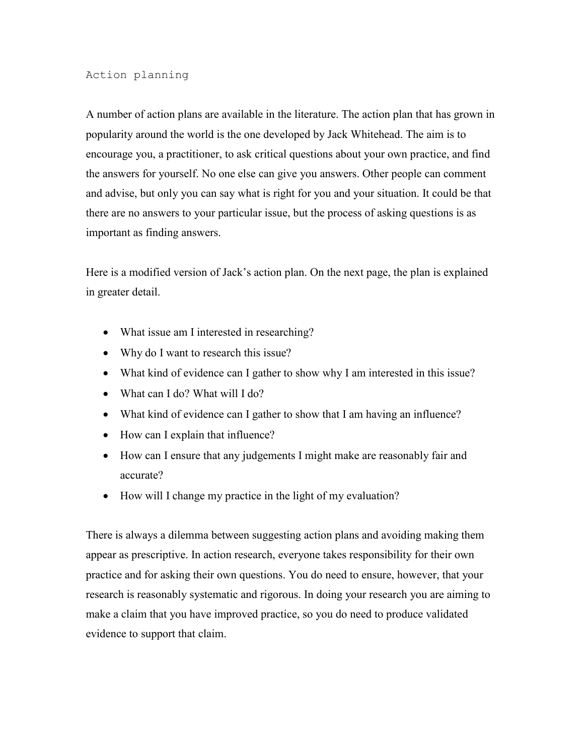### Action planning

A number of action plans are available in the literature. The action plan that has grown in popularity around the world is the one developed by Jack Whitehead. The aim is to encourage you, a practitioner, to ask critical questions about your own practice, and find the answers for yourself. No one else can give you answers. Other people can comment and advise, but only you can say what is right for you and your situation. It could be that there are no answers to your particular issue, but the process of asking questions is as important as finding answers.

Here is a modified version of Jack's action plan. On the next page, the plan is explained in greater detail.

- What issue am I interested in researching?
- Why do I want to research this issue?
- What kind of evidence can I gather to show why I am interested in this issue?
- What can I do? What will I do?
- What kind of evidence can I gather to show that I am having an influence?
- How can I explain that influence?
- How can I ensure that any judgements I might make are reasonably fair and accurate?
- How will I change my practice in the light of my evaluation?

There is always a dilemma between suggesting action plans and avoiding making them appear as prescriptive. In action research, everyone takes responsibility for their own practice and for asking their own questions. You do need to ensure, however, that your research is reasonably systematic and rigorous. In doing your research you are aiming to make a claim that you have improved practice, so you do need to produce validated evidence to support that claim.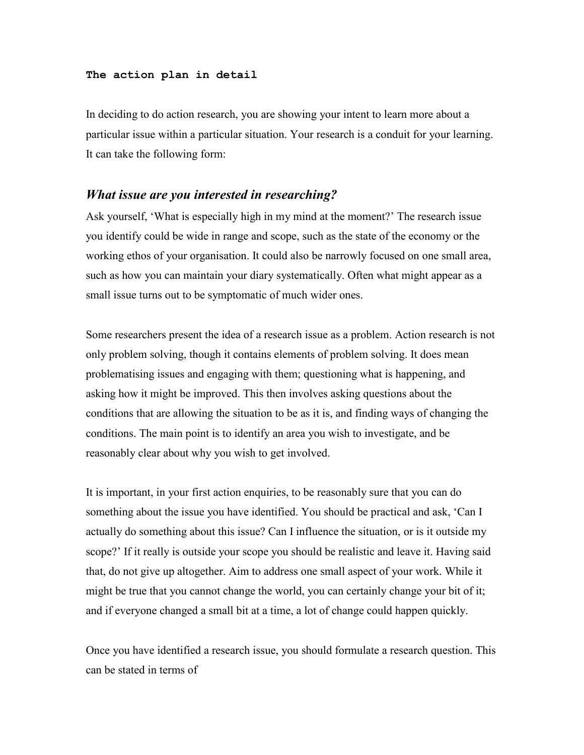#### **The action plan in detail**

In deciding to do action research, you are showing your intent to learn more about a particular issue within a particular situation. Your research is a conduit for your learning. It can take the following form:

# *What issue are you interested in researching?*

Ask yourself, 'What is especially high in my mind at the moment?' The research issue you identify could be wide in range and scope, such as the state of the economy or the working ethos of your organisation. It could also be narrowly focused on one small area, such as how you can maintain your diary systematically. Often what might appear as a small issue turns out to be symptomatic of much wider ones.

Some researchers present the idea of a research issue as a problem. Action research is not only problem solving, though it contains elements of problem solving. It does mean problematising issues and engaging with them; questioning what is happening, and asking how it might be improved. This then involves asking questions about the conditions that are allowing the situation to be as it is, and finding ways of changing the conditions. The main point is to identify an area you wish to investigate, and be reasonably clear about why you wish to get involved.

It is important, in your first action enquiries, to be reasonably sure that you can do something about the issue you have identified. You should be practical and ask, 'Can I actually do something about this issue? Can I influence the situation, or is it outside my scope?' If it really is outside your scope you should be realistic and leave it. Having said that, do not give up altogether. Aim to address one small aspect of your work. While it might be true that you cannot change the world, you can certainly change your bit of it; and if everyone changed a small bit at a time, a lot of change could happen quickly.

Once you have identified a research issue, you should formulate a research question. This can be stated in terms of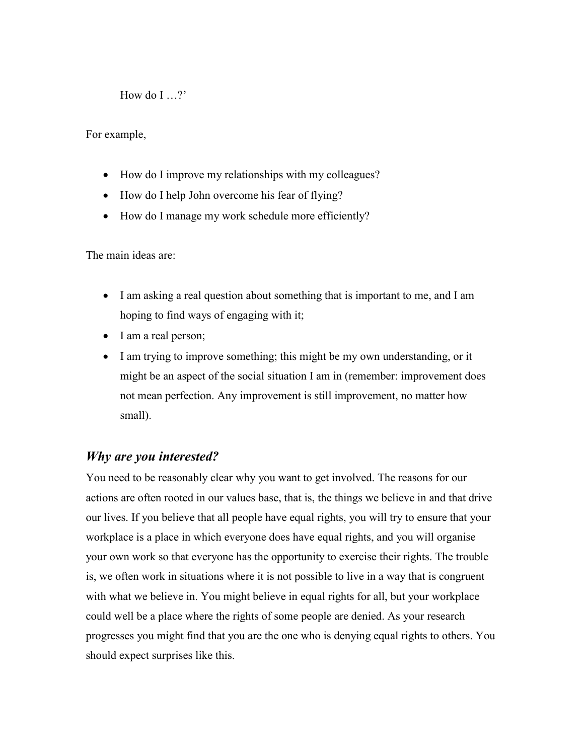How do I ...?'

For example,

- How do I improve my relationships with my colleagues?
- How do I help John overcome his fear of flying?
- How do I manage my work schedule more efficiently?

The main ideas are:

- I am asking a real question about something that is important to me, and I am hoping to find ways of engaging with it;
- I am a real person;
- I am trying to improve something; this might be my own understanding, or it might be an aspect of the social situation I am in (remember: improvement does not mean perfection. Any improvement is still improvement, no matter how small).

# *Why are you interested?*

You need to be reasonably clear why you want to get involved. The reasons for our actions are often rooted in our values base, that is, the things we believe in and that drive our lives. If you believe that all people have equal rights, you will try to ensure that your workplace is a place in which everyone does have equal rights, and you will organise your own work so that everyone has the opportunity to exercise their rights. The trouble is, we often work in situations where it is not possible to live in a way that is congruent with what we believe in. You might believe in equal rights for all, but your workplace could well be a place where the rights of some people are denied. As your research progresses you might find that you are the one who is denying equal rights to others. You should expect surprises like this.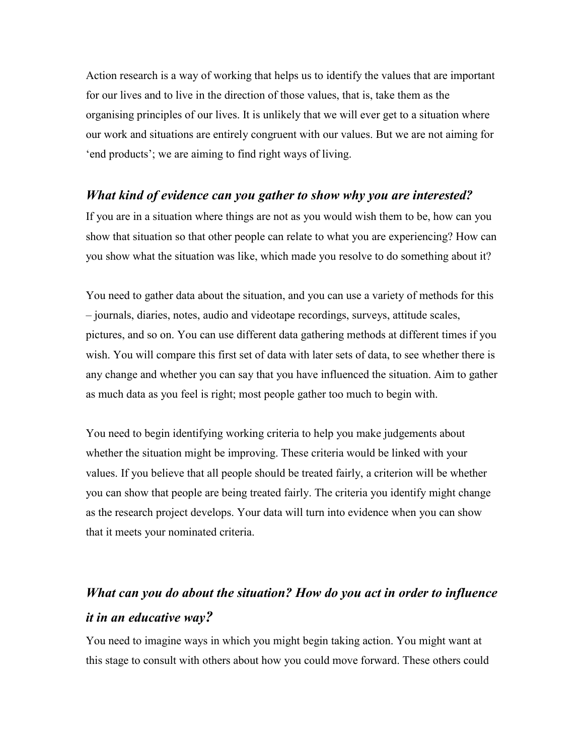Action research is a way of working that helps us to identify the values that are important for our lives and to live in the direction of those values, that is, take them as the organising principles of our lives. It is unlikely that we will ever get to a situation where our work and situations are entirely congruent with our values. But we are not aiming for 'end products'; we are aiming to find right ways of living.

### *What kind of evidence can you gather to show why you are interested?*

If you are in a situation where things are not as you would wish them to be, how can you show that situation so that other people can relate to what you are experiencing? How can you show what the situation was like, which made you resolve to do something about it?

You need to gather data about the situation, and you can use a variety of methods for this – journals, diaries, notes, audio and videotape recordings, surveys, attitude scales, pictures, and so on. You can use different data gathering methods at different times if you wish. You will compare this first set of data with later sets of data, to see whether there is any change and whether you can say that you have influenced the situation. Aim to gather as much data as you feel is right; most people gather too much to begin with.

You need to begin identifying working criteria to help you make judgements about whether the situation might be improving. These criteria would be linked with your values. If you believe that all people should be treated fairly, a criterion will be whether you can show that people are being treated fairly. The criteria you identify might change as the research project develops. Your data will turn into evidence when you can show that it meets your nominated criteria.

# *What can you do about the situation? How do you act in order to influence it in an educative way?*

You need to imagine ways in which you might begin taking action. You might want at this stage to consult with others about how you could move forward. These others could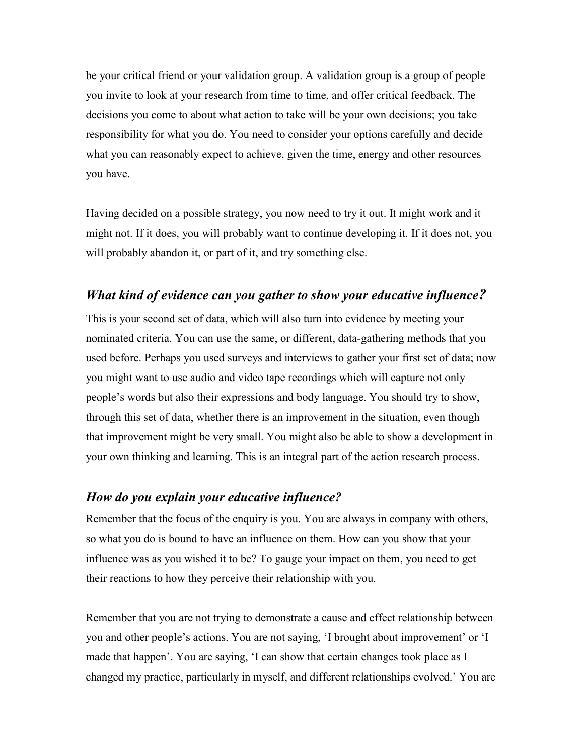be your critical friend or your validation group. A validation group is a group of people you invite to look at your research from time to time, and offer critical feedback. The decisions you come to about what action to take will be your own decisions; you take responsibility for what you do. You need to consider your options carefully and decide what you can reasonably expect to achieve, given the time, energy and other resources you have.

Having decided on a possible strategy, you now need to try it out. It might work and it might not. If it does, you will probably want to continue developing it. If it does not, you will probably abandon it, or part of it, and try something else.

# *What kind of evidence can you gather to show your educative influence?*

This is your second set of data, which will also turn into evidence by meeting your nominated criteria. You can use the same, or different, data-gathering methods that you used before. Perhaps you used surveys and interviews to gather your first set of data; now you might want to use audio and video tape recordings which will capture not only people's words but also their expressions and body language. You should try to show, through this set of data, whether there is an improvement in the situation, even though that improvement might be very small. You might also be able to show a development in your own thinking and learning. This is an integral part of the action research process.

## *How do you explain your educative influence?*

Remember that the focus of the enquiry is you. You are always in company with others, so what you do is bound to have an influence on them. How can you show that your influence was as you wished it to be? To gauge your impact on them, you need to get their reactions to how they perceive their relationship with you.

Remember that you are not trying to demonstrate a cause and effect relationship between you and other people's actions. You are not saying, 'I brought about improvement' or 'I made that happen'. You are saying, 'I can show that certain changes took place as I changed my practice, particularly in myself, and different relationships evolved.' You are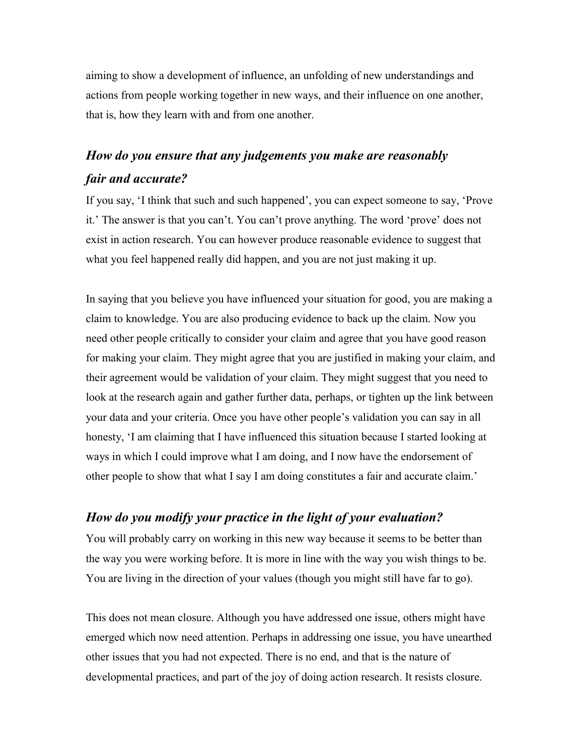aiming to show a development of influence, an unfolding of new understandings and actions from people working together in new ways, and their influence on one another, that is, how they learn with and from one another.

# *How do you ensure that any judgements you make are reasonably fair and accurate?*

If you say, 'I think that such and such happened', you can expect someone to say, 'Prove it.' The answer is that you can't. You can't prove anything. The word 'prove' does not exist in action research. You can however produce reasonable evidence to suggest that what you feel happened really did happen, and you are not just making it up.

In saying that you believe you have influenced your situation for good, you are making a claim to knowledge. You are also producing evidence to back up the claim. Now you need other people critically to consider your claim and agree that you have good reason for making your claim. They might agree that you are justified in making your claim, and their agreement would be validation of your claim. They might suggest that you need to look at the research again and gather further data, perhaps, or tighten up the link between your data and your criteria. Once you have other people's validation you can say in all honesty, 'I am claiming that I have influenced this situation because I started looking at ways in which I could improve what I am doing, and I now have the endorsement of other people to show that what I say I am doing constitutes a fair and accurate claim.'

## *How do you modify your practice in the light of your evaluation?*

You will probably carry on working in this new way because it seems to be better than the way you were working before. It is more in line with the way you wish things to be. You are living in the direction of your values (though you might still have far to go).

This does not mean closure. Although you have addressed one issue, others might have emerged which now need attention. Perhaps in addressing one issue, you have unearthed other issues that you had not expected. There is no end, and that is the nature of developmental practices, and part of the joy of doing action research. It resists closure.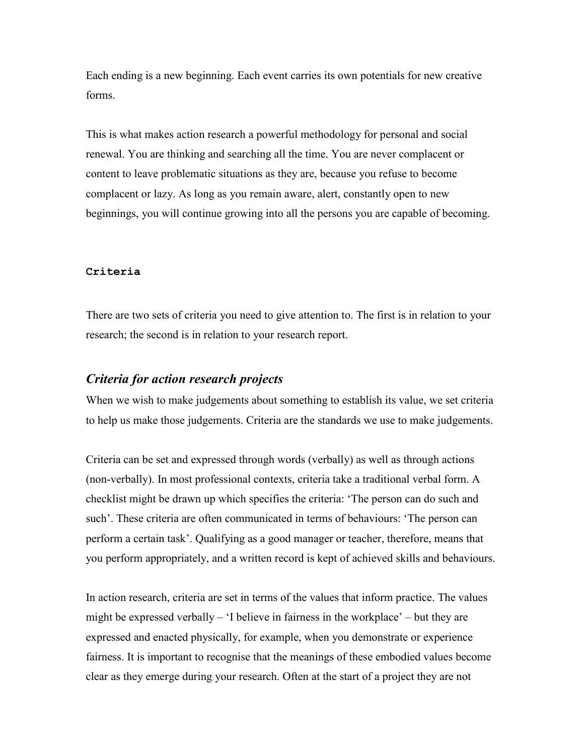Each ending is a new beginning. Each event carries its own potentials for new creative forms.

This is what makes action research a powerful methodology for personal and social renewal. You are thinking and searching all the time. You are never complacent or content to leave problematic situations as they are, because you refuse to become complacent or lazy. As long as you remain aware, alert, constantly open to new beginnings, you will continue growing into all the persons you are capable of becoming.

#### **Criteria**

There are two sets of criteria you need to give attention to. The first is in relation to your research; the second is in relation to your research report.

# *Criteria for action research projects*

When we wish to make judgements about something to establish its value, we set criteria to help us make those judgements. Criteria are the standards we use to make judgements.

Criteria can be set and expressed through words (verbally) as well as through actions (non-verbally). In most professional contexts, criteria take a traditional verbal form. A checklist might be drawn up which specifies the criteria: 'The person can do such and such'. These criteria are often communicated in terms of behaviours: 'The person can perform a certain task'. Qualifying as a good manager or teacher, therefore, means that you perform appropriately, and a written record is kept of achieved skills and behaviours.

In action research, criteria are set in terms of the values that inform practice. The values might be expressed verbally – 'I believe in fairness in the workplace' – but they are expressed and enacted physically, for example, when you demonstrate or experience fairness. It is important to recognise that the meanings of these embodied values become clear as they emerge during your research. Often at the start of a project they are not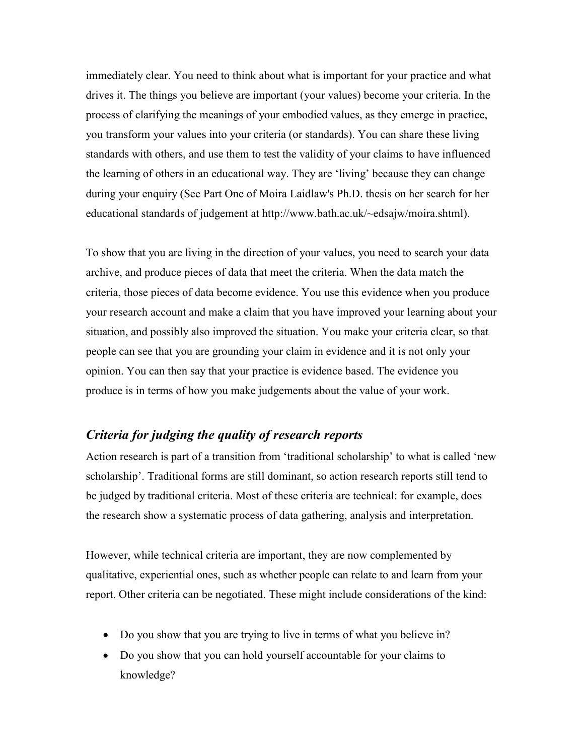immediately clear. You need to think about what is important for your practice and what drives it. The things you believe are important (your values) become your criteria. In the process of clarifying the meanings of your embodied values, as they emerge in practice, you transform your values into your criteria (or standards). You can share these living standards with others, and use them to test the validity of your claims to have influenced the learning of others in an educational way. They are 'living' because they can change during your enquiry (See Part One of Moira Laidlaw's Ph.D. thesis on her search for her educational standards of judgement at http://www.bath.ac.uk/~edsajw/moira.shtml).

To show that you are living in the direction of your values, you need to search your data archive, and produce pieces of data that meet the criteria. When the data match the criteria, those pieces of data become evidence. You use this evidence when you produce your research account and make a claim that you have improved your learning about your situation, and possibly also improved the situation. You make your criteria clear, so that people can see that you are grounding your claim in evidence and it is not only your opinion. You can then say that your practice is evidence based. The evidence you produce is in terms of how you make judgements about the value of your work.

# *Criteria for judging the quality of research reports*

Action research is part of a transition from 'traditional scholarship' to what is called 'new scholarship'. Traditional forms are still dominant, so action research reports still tend to be judged by traditional criteria. Most of these criteria are technical: for example, does the research show a systematic process of data gathering, analysis and interpretation.

However, while technical criteria are important, they are now complemented by qualitative, experiential ones, such as whether people can relate to and learn from your report. Other criteria can be negotiated. These might include considerations of the kind:

- Do you show that you are trying to live in terms of what you believe in?
- Do you show that you can hold yourself accountable for your claims to knowledge?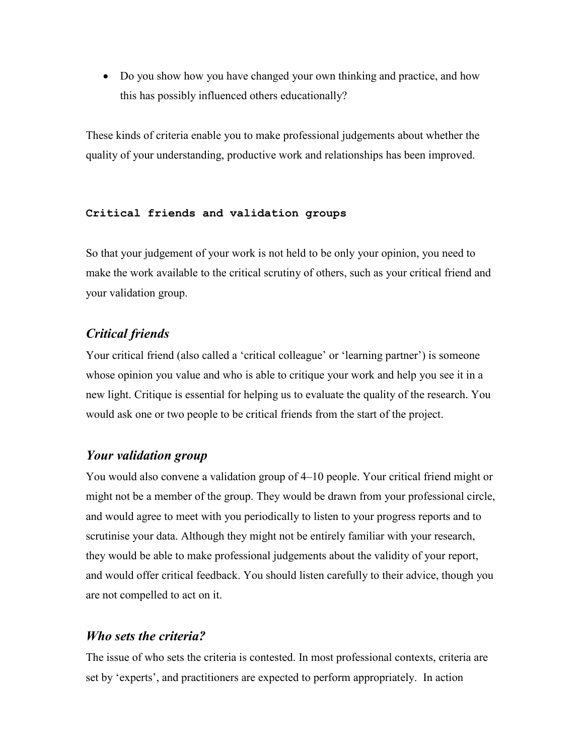Do you show how you have changed your own thinking and practice, and how this has possibly influenced others educationally?

These kinds of criteria enable you to make professional judgements about whether the quality of your understanding, productive work and relationships has been improved.

#### **Critical friends and validation groups**

So that your judgement of your work is not held to be only your opinion, you need to make the work available to the critical scrutiny of others, such as your critical friend and your validation group.

# *Critical friends*

Your critical friend (also called a 'critical colleague' or 'learning partner') is someone whose opinion you value and who is able to critique your work and help you see it in a new light. Critique is essential for helping us to evaluate the quality of the research. You would ask one or two people to be critical friends from the start of the project.

## *Your validation group*

You would also convene a validation group of 4–10 people. Your critical friend might or might not be a member of the group. They would be drawn from your professional circle, and would agree to meet with you periodically to listen to your progress reports and to scrutinise your data. Although they might not be entirely familiar with your research, they would be able to make professional judgements about the validity of your report, and would offer critical feedback. You should listen carefully to their advice, though you are not compelled to act on it.

## *Who sets the criteria?*

The issue of who sets the criteria is contested. In most professional contexts, criteria are set by 'experts', and practitioners are expected to perform appropriately. In action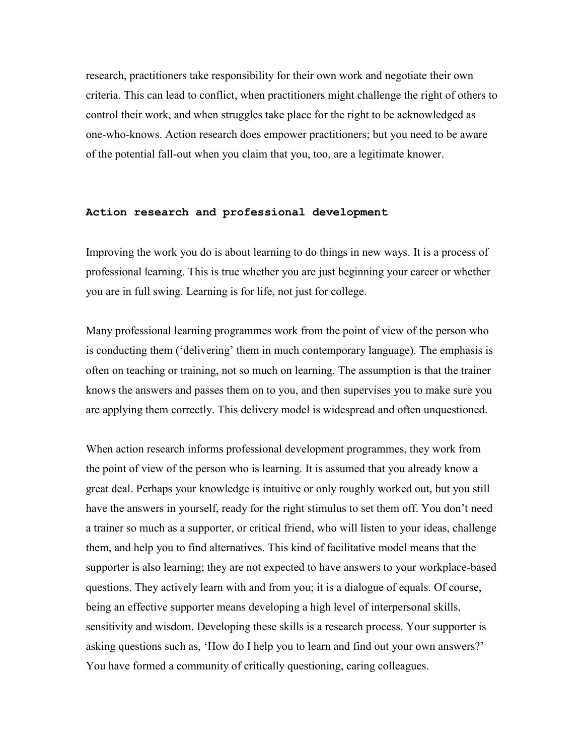research, practitioners take responsibility for their own work and negotiate their own criteria. This can lead to conflict, when practitioners might challenge the right of others to control their work, and when struggles take place for the right to be acknowledged as one-who-knows. Action research does empower practitioners; but you need to be aware of the potential fall-out when you claim that you, too, are a legitimate knower.

#### **Action research and professional development**

Improving the work you do is about learning to do things in new ways. It is a process of professional learning. This is true whether you are just beginning your career or whether you are in full swing. Learning is for life, not just for college.

Many professional learning programmes work from the point of view of the person who is conducting them ('delivering' them in much contemporary language). The emphasis is often on teaching or training, not so much on learning. The assumption is that the trainer knows the answers and passes them on to you, and then supervises you to make sure you are applying them correctly. This delivery model is widespread and often unquestioned.

When action research informs professional development programmes, they work from the point of view of the person who is learning. It is assumed that you already know a great deal. Perhaps your knowledge is intuitive or only roughly worked out, but you still have the answers in yourself, ready for the right stimulus to set them off. You don't need a trainer so much as a supporter, or critical friend, who will listen to your ideas, challenge them, and help you to find alternatives. This kind of facilitative model means that the supporter is also learning; they are not expected to have answers to your workplace-based questions. They actively learn with and from you; it is a dialogue of equals. Of course, being an effective supporter means developing a high level of interpersonal skills, sensitivity and wisdom. Developing these skills is a research process. Your supporter is asking questions such as, 'How do I help you to learn and find out your own answers?' You have formed a community of critically questioning, caring colleagues.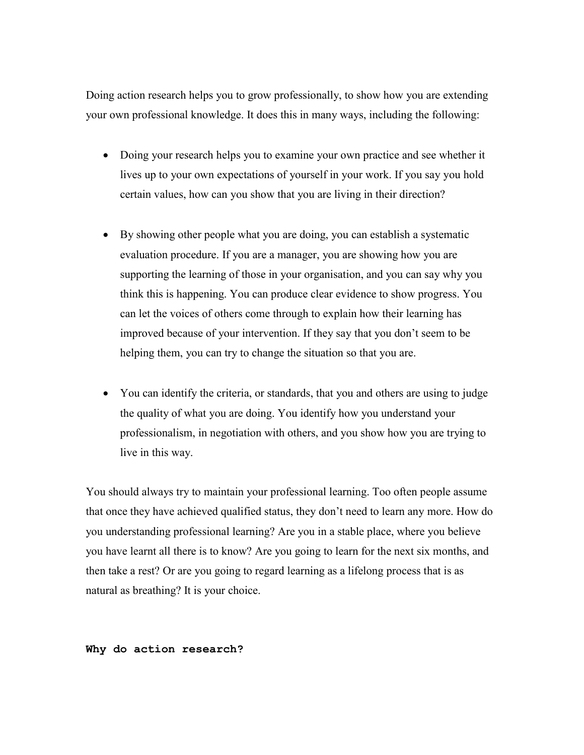Doing action research helps you to grow professionally, to show how you are extending your own professional knowledge. It does this in many ways, including the following:

- Doing your research helps you to examine your own practice and see whether it lives up to your own expectations of yourself in your work. If you say you hold certain values, how can you show that you are living in their direction?
- By showing other people what you are doing, you can establish a systematic evaluation procedure. If you are a manager, you are showing how you are supporting the learning of those in your organisation, and you can say why you think this is happening. You can produce clear evidence to show progress. You can let the voices of others come through to explain how their learning has improved because of your intervention. If they say that you don't seem to be helping them, you can try to change the situation so that you are.
- You can identify the criteria, or standards, that you and others are using to judge the quality of what you are doing. You identify how you understand your professionalism, in negotiation with others, and you show how you are trying to live in this way.

You should always try to maintain your professional learning. Too often people assume that once they have achieved qualified status, they don't need to learn any more. How do you understanding professional learning? Are you in a stable place, where you believe you have learnt all there is to know? Are you going to learn for the next six months, and then take a rest? Or are you going to regard learning as a lifelong process that is as natural as breathing? It is your choice.

#### **Why do action research?**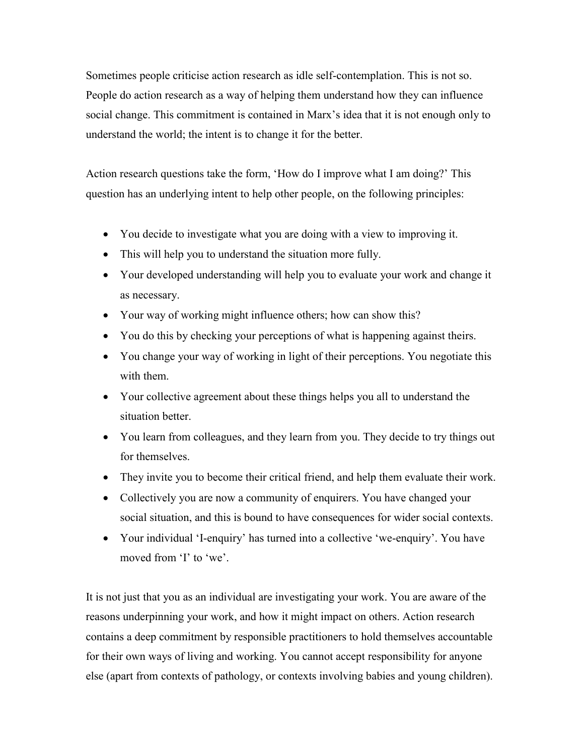Sometimes people criticise action research as idle self-contemplation. This is not so. People do action research as a way of helping them understand how they can influence social change. This commitment is contained in Marx's idea that it is not enough only to understand the world; the intent is to change it for the better.

Action research questions take the form, 'How do I improve what I am doing?' This question has an underlying intent to help other people, on the following principles:

- You decide to investigate what you are doing with a view to improving it.
- This will help you to understand the situation more fully.
- Your developed understanding will help you to evaluate your work and change it as necessary.
- Your way of working might influence others; how can show this?
- You do this by checking your perceptions of what is happening against theirs.
- You change your way of working in light of their perceptions. You negotiate this with them.
- Your collective agreement about these things helps you all to understand the situation better.
- You learn from colleagues, and they learn from you. They decide to try things out for themselves.
- They invite you to become their critical friend, and help them evaluate their work.
- Collectively you are now a community of enquirers. You have changed your social situation, and this is bound to have consequences for wider social contexts.
- Your individual 'I-enquiry' has turned into a collective 'we-enquiry'. You have moved from 'I' to 'we'.

It is not just that you as an individual are investigating your work. You are aware of the reasons underpinning your work, and how it might impact on others. Action research contains a deep commitment by responsible practitioners to hold themselves accountable for their own ways of living and working. You cannot accept responsibility for anyone else (apart from contexts of pathology, or contexts involving babies and young children).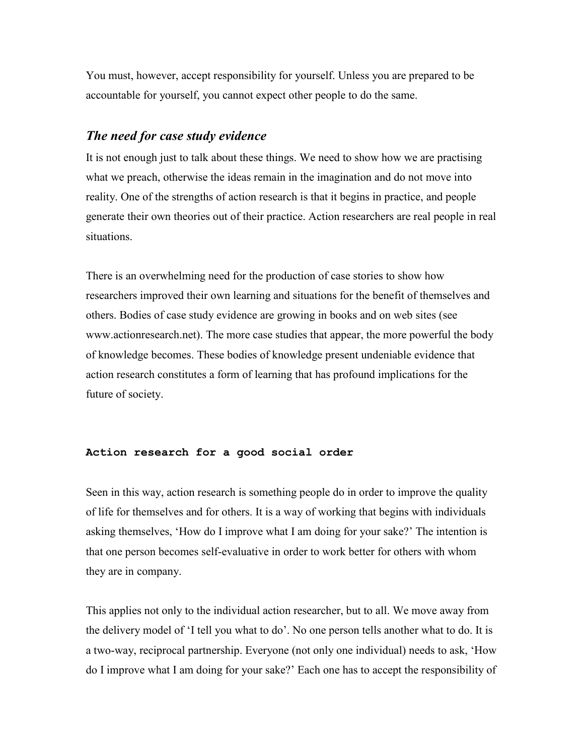You must, however, accept responsibility for yourself. Unless you are prepared to be accountable for yourself, you cannot expect other people to do the same.

## *The need for case study evidence*

It is not enough just to talk about these things. We need to show how we are practising what we preach, otherwise the ideas remain in the imagination and do not move into reality. One of the strengths of action research is that it begins in practice, and people generate their own theories out of their practice. Action researchers are real people in real situations.

There is an overwhelming need for the production of case stories to show how researchers improved their own learning and situations for the benefit of themselves and others. Bodies of case study evidence are growing in books and on web sites (see www.actionresearch.net). The more case studies that appear, the more powerful the body of knowledge becomes. These bodies of knowledge present undeniable evidence that action research constitutes a form of learning that has profound implications for the future of society.

#### **Action research for a good social order**

Seen in this way, action research is something people do in order to improve the quality of life for themselves and for others. It is a way of working that begins with individuals asking themselves, 'How do I improve what I am doing for your sake?' The intention is that one person becomes self-evaluative in order to work better for others with whom they are in company.

This applies not only to the individual action researcher, but to all. We move away from the delivery model of 'I tell you what to do'. No one person tells another what to do. It is a two-way, reciprocal partnership. Everyone (not only one individual) needs to ask, 'How do I improve what I am doing for your sake?' Each one has to accept the responsibility of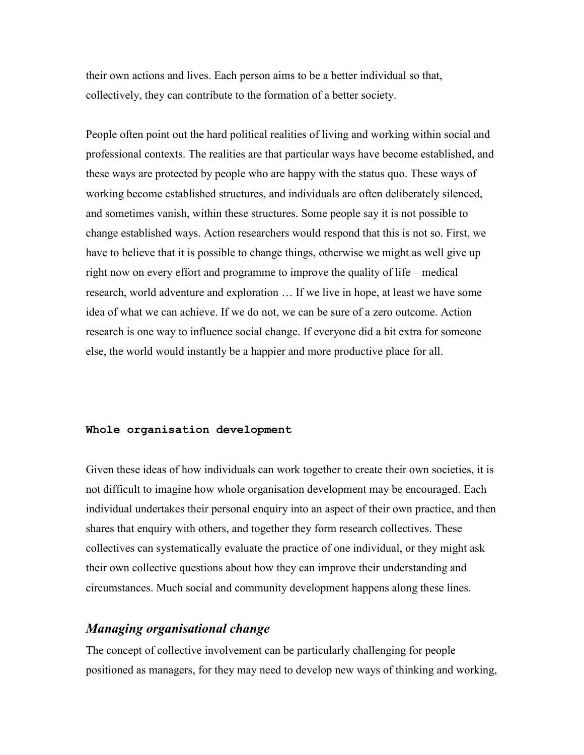their own actions and lives. Each person aims to be a better individual so that, collectively, they can contribute to the formation of a better society.

People often point out the hard political realities of living and working within social and professional contexts. The realities are that particular ways have become established, and these ways are protected by people who are happy with the status quo. These ways of working become established structures, and individuals are often deliberately silenced, and sometimes vanish, within these structures. Some people say it is not possible to change established ways. Action researchers would respond that this is not so. First, we have to believe that it is possible to change things, otherwise we might as well give up right now on every effort and programme to improve the quality of life – medical research, world adventure and exploration … If we live in hope, at least we have some idea of what we can achieve. If we do not, we can be sure of a zero outcome. Action research is one way to influence social change. If everyone did a bit extra for someone else, the world would instantly be a happier and more productive place for all.

#### **Whole organisation development**

Given these ideas of how individuals can work together to create their own societies, it is not difficult to imagine how whole organisation development may be encouraged. Each individual undertakes their personal enquiry into an aspect of their own practice, and then shares that enquiry with others, and together they form research collectives. These collectives can systematically evaluate the practice of one individual, or they might ask their own collective questions about how they can improve their understanding and circumstances. Much social and community development happens along these lines.

### *Managing organisational change*

The concept of collective involvement can be particularly challenging for people positioned as managers, for they may need to develop new ways of thinking and working,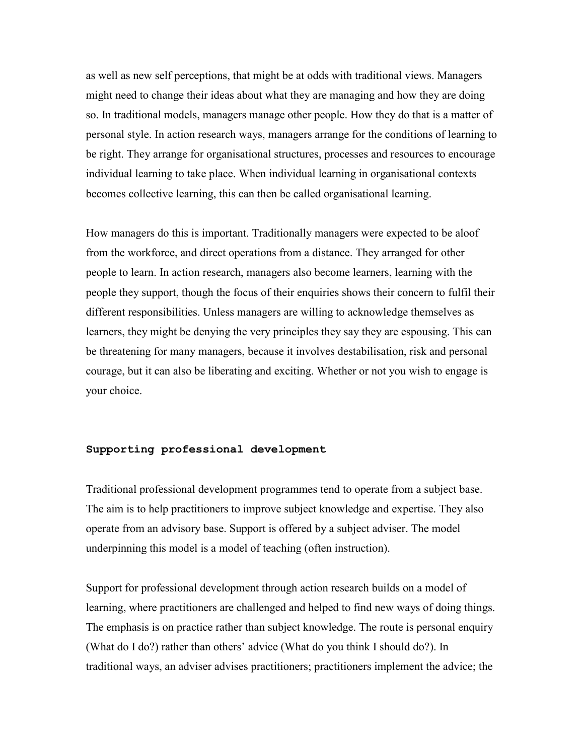as well as new self perceptions, that might be at odds with traditional views. Managers might need to change their ideas about what they are managing and how they are doing so. In traditional models, managers manage other people. How they do that is a matter of personal style. In action research ways, managers arrange for the conditions of learning to be right. They arrange for organisational structures, processes and resources to encourage individual learning to take place. When individual learning in organisational contexts becomes collective learning, this can then be called organisational learning.

How managers do this is important. Traditionally managers were expected to be aloof from the workforce, and direct operations from a distance. They arranged for other people to learn. In action research, managers also become learners, learning with the people they support, though the focus of their enquiries shows their concern to fulfil their different responsibilities. Unless managers are willing to acknowledge themselves as learners, they might be denying the very principles they say they are espousing. This can be threatening for many managers, because it involves destabilisation, risk and personal courage, but it can also be liberating and exciting. Whether or not you wish to engage is your choice.

#### **Supporting professional development**

Traditional professional development programmes tend to operate from a subject base. The aim is to help practitioners to improve subject knowledge and expertise. They also operate from an advisory base. Support is offered by a subject adviser. The model underpinning this model is a model of teaching (often instruction).

Support for professional development through action research builds on a model of learning, where practitioners are challenged and helped to find new ways of doing things. The emphasis is on practice rather than subject knowledge. The route is personal enquiry (What do I do?) rather than others' advice (What do you think I should do?). In traditional ways, an adviser advises practitioners; practitioners implement the advice; the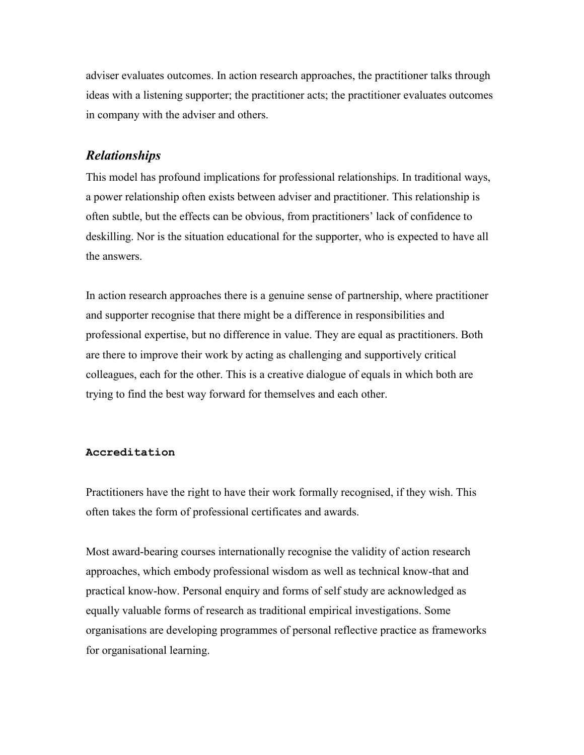adviser evaluates outcomes. In action research approaches, the practitioner talks through ideas with a listening supporter; the practitioner acts; the practitioner evaluates outcomes in company with the adviser and others.

## *Relationships*

This model has profound implications for professional relationships. In traditional ways, a power relationship often exists between adviser and practitioner. This relationship is often subtle, but the effects can be obvious, from practitioners' lack of confidence to deskilling. Nor is the situation educational for the supporter, who is expected to have all the answers.

In action research approaches there is a genuine sense of partnership, where practitioner and supporter recognise that there might be a difference in responsibilities and professional expertise, but no difference in value. They are equal as practitioners. Both are there to improve their work by acting as challenging and supportively critical colleagues, each for the other. This is a creative dialogue of equals in which both are trying to find the best way forward for themselves and each other.

#### **Accreditation**

Practitioners have the right to have their work formally recognised, if they wish. This often takes the form of professional certificates and awards.

Most award-bearing courses internationally recognise the validity of action research approaches, which embody professional wisdom as well as technical know-that and practical know-how. Personal enquiry and forms of self study are acknowledged as equally valuable forms of research as traditional empirical investigations. Some organisations are developing programmes of personal reflective practice as frameworks for organisational learning.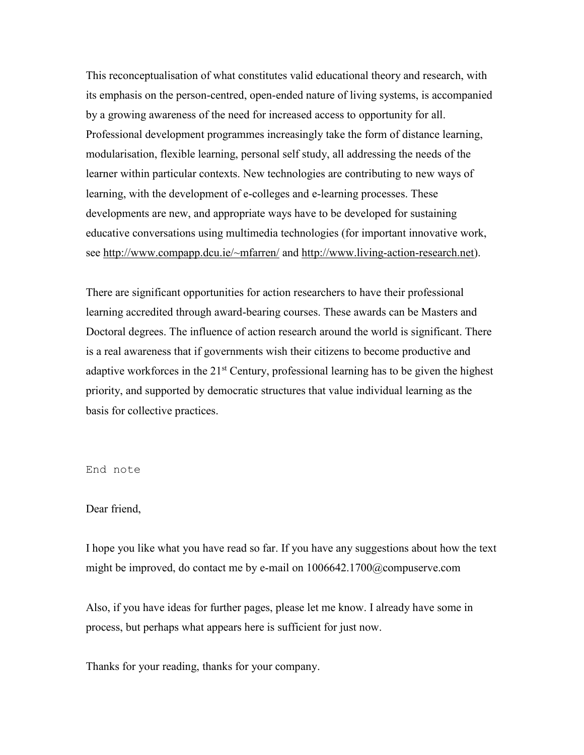This reconceptualisation of what constitutes valid educational theory and research, with its emphasis on the person-centred, open-ended nature of living systems, is accompanied by a growing awareness of the need for increased access to opportunity for all. Professional development programmes increasingly take the form of distance learning, modularisation, flexible learning, personal self study, all addressing the needs of the learner within particular contexts. New technologies are contributing to new ways of learning, with the development of e-colleges and e-learning processes. These developments are new, and appropriate ways have to be developed for sustaining educative conversations using multimedia technologies (for important innovative work, see http://www.compapp.dcu.ie/~mfarren/ and http://www.living-action-research.net).

There are significant opportunities for action researchers to have their professional learning accredited through award-bearing courses. These awards can be Masters and Doctoral degrees. The influence of action research around the world is significant. There is a real awareness that if governments wish their citizens to become productive and adaptive workforces in the  $21<sup>st</sup>$  Century, professional learning has to be given the highest priority, and supported by democratic structures that value individual learning as the basis for collective practices.

End note

#### Dear friend,

I hope you like what you have read so far. If you have any suggestions about how the text might be improved, do contact me by e-mail on 1006642.1700@compuserve.com

Also, if you have ideas for further pages, please let me know. I already have some in process, but perhaps what appears here is sufficient for just now.

Thanks for your reading, thanks for your company.